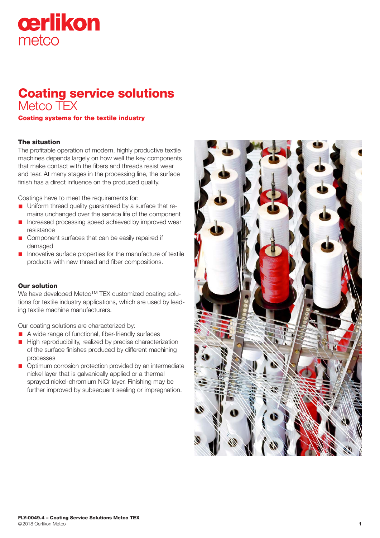# cerlikon metco

# Coating service solutions Metco TEX

Coating systems for the textile industry

## The situation

The profitable operation of modern, highly productive textile machines depends largely on how well the key components that make contact with the fibers and threads resist wear and tear. At many stages in the processing line, the surface finish has a direct influence on the produced quality.

Coatings have to meet the requirements for:

- Uniform thread quality guaranteed by a surface that remains unchanged over the service life of the component
- Increased processing speed achieved by improved wear resistance
- Component surfaces that can be easily repaired if damaged
- n Innovative surface properties for the manufacture of textile products with new thread and fiber compositions.

#### Our solution

We have developed Metco™ TEX customized coating solutions for textile industry applications, which are used by leading textile machine manufacturers.

Our coating solutions are characterized by:

- A wide range of functional, fiber-friendly surfaces
- High reproducibility, realized by precise characterization of the surface finishes produced by different machining processes
- n Optimum corrosion protection provided by an intermediate nickel layer that is galvanically applied or a thermal sprayed nickel-chromium NiCr layer. Finishing may be further improved by subsequent sealing or impregnation.